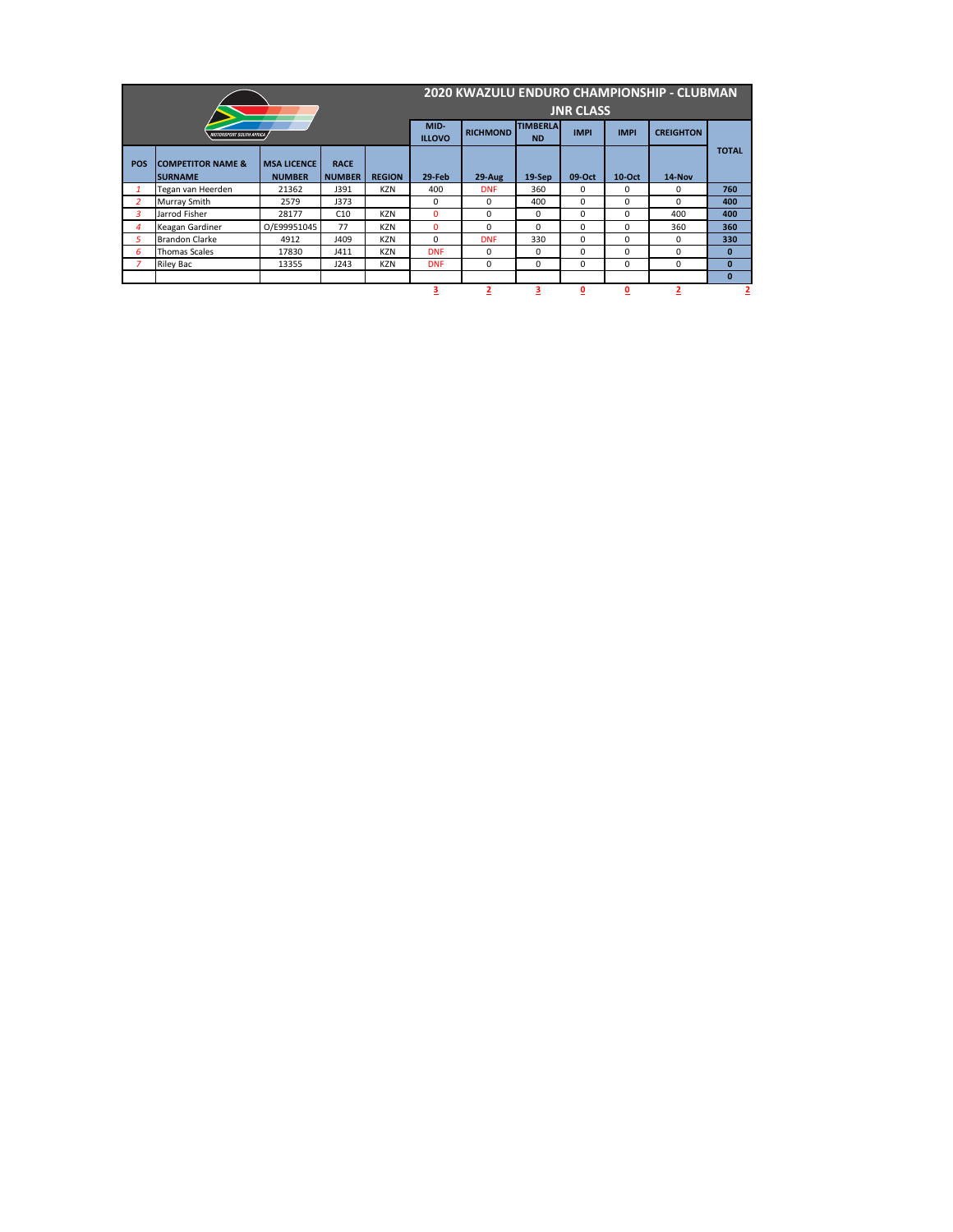|                |                                          |                                     |                              |                              | 2020 KWAZULU ENDURO CHAMPIONSHIP - CLUBMAN |                |                         |                          |                         |                |                |  |  |
|----------------|------------------------------------------|-------------------------------------|------------------------------|------------------------------|--------------------------------------------|----------------|-------------------------|--------------------------|-------------------------|----------------|----------------|--|--|
|                |                                          |                                     |                              |                              | <b>JNR CLASS</b>                           |                |                         |                          |                         |                |                |  |  |
|                | <b>MOTORSPORT SOUTH AFRICA</b>           | MID-<br><b>ILLOVO</b>               | <b>RICHMOND</b>              | <b>TIMBERLA</b><br><b>ND</b> | <b>IMPI</b>                                | <b>IMPI</b>    | <b>CREIGHTON</b>        |                          |                         |                |                |  |  |
| <b>POS</b>     | <b>COMPETITOR NAME &amp;</b><br>ISURNAME | <b>MSA LICENCE</b><br><b>NUMBER</b> | <b>RACE</b><br><b>NUMBER</b> | <b>REGION</b>                | $29$ -Feb                                  | $29-Aug$       | $19-Sep$                | 09-Oct                   | <b>10-Oct</b>           | 14-Nov         | <b>TOTAL</b>   |  |  |
|                | Tegan van Heerden                        | 21362                               | J391                         | <b>KZN</b>                   | 400                                        | <b>DNF</b>     | 360                     | 0                        | 0                       | $\mathbf{0}$   | 760            |  |  |
| 2              | Murray Smith                             | 2579                                | J373                         |                              | $\mathbf{0}$                               | 0              | 400                     | $\Omega$                 | 0                       | 0              | 400            |  |  |
| 3              | Jarrod Fisher                            | 28177                               | C10                          | <b>KZN</b>                   | $\mathbf{0}$                               | 0              | $\Omega$                | $\Omega$                 | $\Omega$                | 400            | 400            |  |  |
| 4              | Keagan Gardiner                          | O/E99951045                         | 77                           | <b>KZN</b>                   | $\mathbf{0}$                               | 0              | $\Omega$                | $\Omega$                 | $\mathbf{0}$            | 360            | 360            |  |  |
| 5              | <b>Brandon Clarke</b>                    | 4912                                | J409                         | <b>KZN</b>                   | $\mathbf{0}$                               | <b>DNF</b>     | 330                     | $\Omega$                 | $\mathbf{0}$            | 0              | 330            |  |  |
| 6              | <b>Thomas Scales</b>                     | 17830                               | J411                         | <b>KZN</b>                   | <b>DNF</b>                                 | 0              | 0                       | $\Omega$                 | 0                       | 0              | 0              |  |  |
| $\overline{7}$ | <b>Riley Bac</b>                         | 13355                               | J243                         | <b>KZN</b>                   | <b>DNF</b>                                 | $\Omega$       | 0                       | $\Omega$                 | $\Omega$                | 0              | 0              |  |  |
|                |                                          |                                     |                              |                              |                                            |                |                         |                          |                         |                | $\mathbf 0$    |  |  |
|                |                                          |                                     |                              |                              | 3                                          | $\overline{2}$ | $\overline{\mathbf{3}}$ | $\underline{\mathbf{0}}$ | $\overline{\mathbf{0}}$ | $\overline{2}$ | $\overline{2}$ |  |  |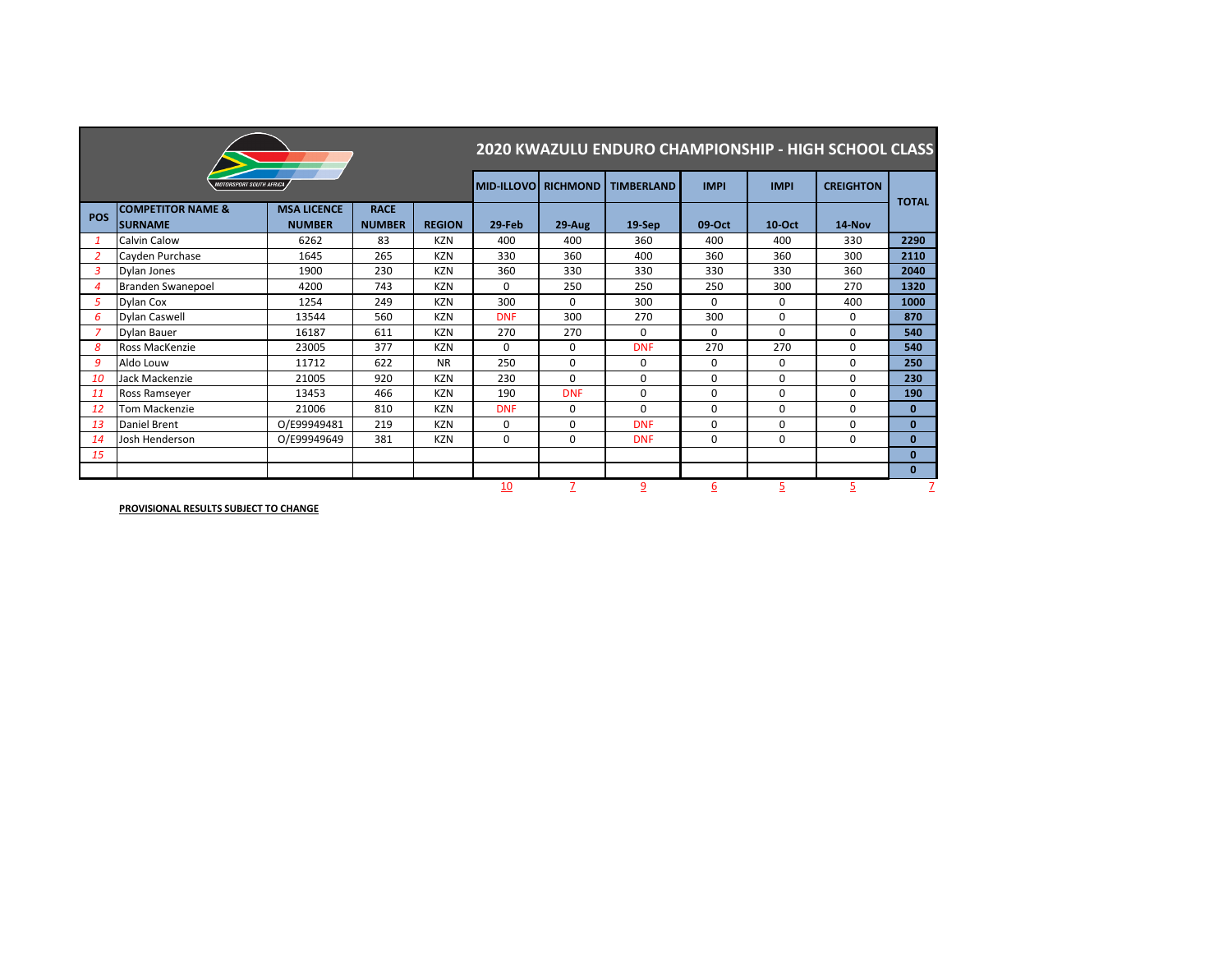|            |                                                 |                                     |                              |               | <b>2020 KWAZULU ENDURO CHAMPIONSHIP - HIGH SCHOOL CLASS</b> |                     |                   |                 |              |                  |              |  |  |
|------------|-------------------------------------------------|-------------------------------------|------------------------------|---------------|-------------------------------------------------------------|---------------------|-------------------|-----------------|--------------|------------------|--------------|--|--|
|            | <i><b>MOTORSPORT SOUTH AFRICA</b></i>           |                                     |                              |               |                                                             | MID-ILLOVO RICHMOND | <b>TIMBERLAND</b> | <b>IMPI</b>     | <b>IMPI</b>  | <b>CREIGHTON</b> | <b>TOTAL</b> |  |  |
| <b>POS</b> | <b>COMPETITOR NAME &amp;</b><br><b>ISURNAME</b> | <b>MSA LICENCE</b><br><b>NUMBER</b> | <b>RACE</b><br><b>NUMBER</b> | <b>REGION</b> | 29-Feb                                                      | 29-Aug              | 19-Sep            | 09-Oct          | $10$ -Oct    | 14-Nov           |              |  |  |
| 1          | Calvin Calow                                    | 6262                                | 83                           | <b>KZN</b>    | 400                                                         | 400                 | 360               | 400             | 400          | 330              | 2290         |  |  |
| 2          | Cayden Purchase                                 | 1645                                | 265                          | <b>KZN</b>    | 330                                                         | 360                 | 400               | 360             | 360          | 300              | 2110         |  |  |
| 3          | Dylan Jones                                     | 1900                                | 230                          | <b>KZN</b>    | 360                                                         | 330                 | 330               | 330             | 330          | 360              | 2040         |  |  |
| 4          | Branden Swanepoel                               | 4200                                | 743                          | <b>KZN</b>    | $\mathbf{0}$                                                | 250                 | 250               | 250             | 300          | 270              | 1320         |  |  |
| 5          | Dylan Cox                                       | 1254                                | 249                          | <b>KZN</b>    | 300                                                         | $\Omega$            | 300               | $\Omega$        | $\mathbf{0}$ | 400              | 1000         |  |  |
| 6          | <b>Dylan Caswell</b>                            | 13544                               | 560                          | <b>KZN</b>    | <b>DNF</b>                                                  | 300                 | 270               | 300             | 0            | $\mathbf 0$      | 870          |  |  |
|            | <b>Dylan Bauer</b>                              | 16187                               | 611                          | <b>KZN</b>    | 270                                                         | 270                 | $\mathbf 0$       | $\mathbf 0$     | 0            | $\mathbf 0$      | 540          |  |  |
| 8          | Ross MacKenzie                                  | 23005                               | 377                          | <b>KZN</b>    | $\mathbf{0}$                                                | 0                   | <b>DNF</b>        | 270             | 270          | $\mathbf{0}$     | 540          |  |  |
| 9          | Aldo Louw                                       | 11712                               | 622                          | <b>NR</b>     | 250                                                         | $\mathbf 0$         | 0                 | $\Omega$        | $\mathbf{0}$ | $\mathbf 0$      | 250          |  |  |
| 10         | Jack Mackenzie                                  | 21005                               | 920                          | <b>KZN</b>    | 230                                                         | $\mathbf 0$         | 0                 | 0               | 0            | $\mathbf 0$      | 230          |  |  |
| 11         | Ross Ramseyer                                   | 13453                               | 466                          | <b>KZN</b>    | 190                                                         | <b>DNF</b>          | 0                 | $\Omega$        | 0            | $\mathbf{0}$     | 190          |  |  |
| 12         | Tom Mackenzie                                   | 21006                               | 810                          | <b>KZN</b>    | <b>DNF</b>                                                  | $\mathbf 0$         | $\Omega$          | $\Omega$        | 0            | $\mathbf 0$      | $\mathbf{0}$ |  |  |
| 13         | Daniel Brent                                    | O/E99949481                         | 219                          | <b>KZN</b>    | $\mathbf{0}$                                                | $\Omega$            | <b>DNF</b>        | $\Omega$        | $\Omega$     | $\Omega$         | $\mathbf{0}$ |  |  |
| 14         | Josh Henderson                                  | O/E99949649                         | 381                          | <b>KZN</b>    | $\mathbf 0$                                                 | $\mathbf 0$         | <b>DNF</b>        | $\mathbf{0}$    | 0            | $\mathbf 0$      | $\mathbf{0}$ |  |  |
| 15         |                                                 |                                     |                              |               |                                                             |                     |                   |                 |              |                  | $\mathbf{0}$ |  |  |
|            |                                                 |                                     |                              |               |                                                             |                     |                   |                 |              |                  | $\mathbf{0}$ |  |  |
|            |                                                 |                                     |                              |               | 10                                                          |                     | $\overline{9}$    | $\underline{6}$ | 5            | $\overline{5}$   |              |  |  |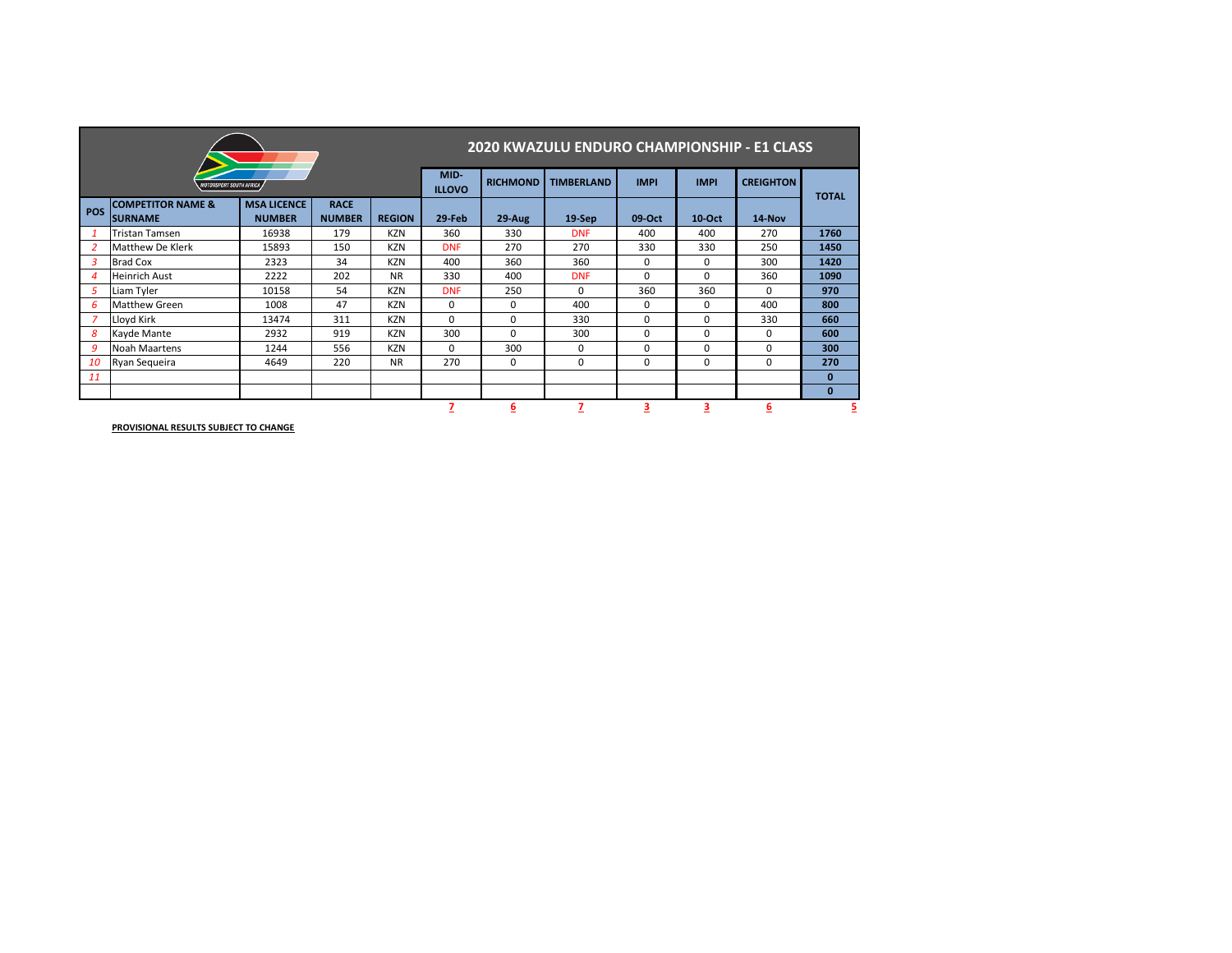|            |                                                |                                     |                              |                   | 2020 KWAZULU ENDURO CHAMPIONSHIP - E1 CLASS |                  |                  |              |               |              |          |  |  |
|------------|------------------------------------------------|-------------------------------------|------------------------------|-------------------|---------------------------------------------|------------------|------------------|--------------|---------------|--------------|----------|--|--|
|            | <b>MOTORSPORT SOUTH AFRICA</b>                 | MID-<br><b>ILLOVO</b>               | <b>RICHMOND</b>              | <b>TIMBERLAND</b> | <b>IMPI</b>                                 | <b>IMPI</b>      | <b>CREIGHTON</b> | <b>TOTAL</b> |               |              |          |  |  |
| <b>POS</b> | <b>COMPETITOR NAME &amp;</b><br><b>SURNAME</b> | <b>MSA LICENCE</b><br><b>NUMBER</b> | <b>RACE</b><br><b>NUMBER</b> | <b>REGION</b>     | $29$ -Feb                                   | $29-Aug$         | $19-$ Sep        | 09-Oct       | <b>10-Oct</b> | 14-Nov       |          |  |  |
|            | <b>Tristan Tamsen</b>                          | 16938                               | 179                          | KZN               | 360                                         | 330              | <b>DNF</b>       | 400          | 400           | 270          | 1760     |  |  |
|            | <b>Matthew De Klerk</b>                        | 15893                               | 150                          | <b>KZN</b>        | <b>DNF</b>                                  | 270              | 270              | 330          | 330           | 250          | 1450     |  |  |
| 3          | <b>Brad Cox</b>                                | 2323                                | 34                           | <b>KZN</b>        | 400                                         | 360              | 360              | 0            | 0             | 300          | 1420     |  |  |
| 4          | <b>Heinrich Aust</b>                           | 2222                                | 202                          | <b>NR</b>         | 330                                         | 400              | <b>DNF</b>       | 0            | 0             | 360          | 1090     |  |  |
| 5          | Liam Tyler                                     | 10158                               | 54                           | <b>KZN</b>        | <b>DNF</b>                                  | 250              | $\mathbf{0}$     | 360          | 360           | $\mathbf{0}$ | 970      |  |  |
| 6          | <b>Matthew Green</b>                           | 1008                                | 47                           | <b>KZN</b>        | 0                                           | $\mathbf 0$      | 400              | $\mathbf{0}$ | 0             | 400          | 800      |  |  |
| 7          | Lloyd Kirk                                     | 13474                               | 311                          | <b>KZN</b>        | $\mathbf{0}$                                | 0                | 330              | 0            | 0             | 330          | 660      |  |  |
| 8          | <b>Kayde Mante</b>                             | 2932                                | 919                          | <b>KZN</b>        | 300                                         | $\mathbf 0$      | 300              | $\mathbf{0}$ | $\mathbf{0}$  | 0            | 600      |  |  |
| 9          | <b>Noah Maartens</b>                           | 1244                                | 556                          | KZN               | $\Omega$                                    | 300              | $\mathbf{0}$     | 0            | 0             | 0            | 300      |  |  |
| 10         | Ryan Sequeira                                  | 4649                                | 220                          | <b>NR</b>         | 270                                         | 0                | 0                | 0            | $\mathbf{0}$  | 0            | 270      |  |  |
| 11         |                                                |                                     |                              |                   |                                             |                  |                  |              |               |              | 0        |  |  |
|            |                                                |                                     |                              |                   |                                             |                  |                  |              |               |              | $\bf{0}$ |  |  |
|            |                                                |                                     |                              |                   |                                             | $6 \overline{6}$ |                  | 3            | 3             | 6            |          |  |  |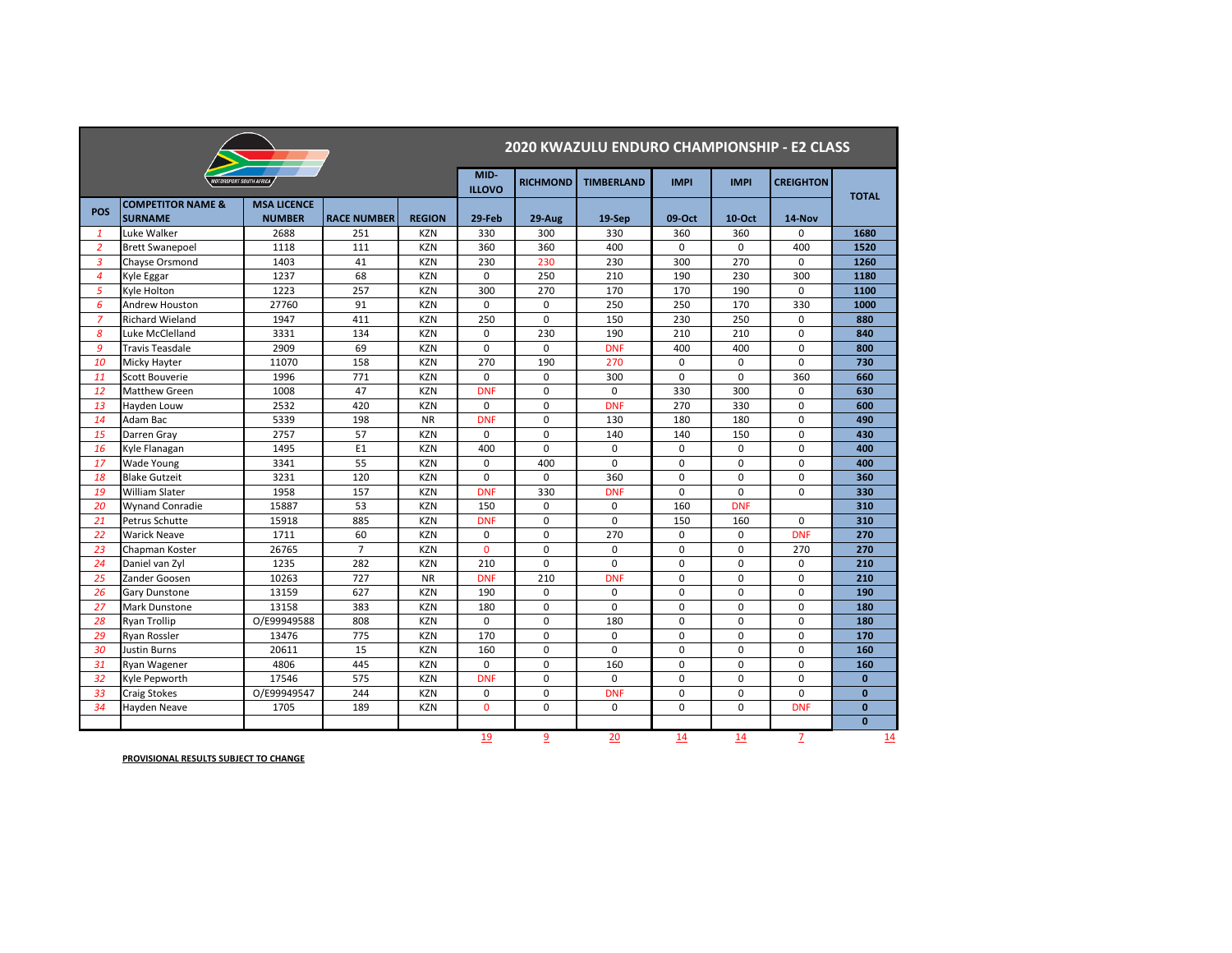|                |                                                |                                       |                    |               | 2020 KWAZULU ENDURO CHAMPIONSHIP - E2 CLASS |                 |                   |             |               |                  |              |  |  |
|----------------|------------------------------------------------|---------------------------------------|--------------------|---------------|---------------------------------------------|-----------------|-------------------|-------------|---------------|------------------|--------------|--|--|
|                |                                                | <i><b>NOTORSPORT SOUTH AFRICA</b></i> |                    |               | MID-<br><b>ILLOVO</b>                       | <b>RICHMOND</b> | <b>TIMBERLAND</b> | <b>IMPI</b> | <b>IMPI</b>   | <b>CREIGHTON</b> | <b>TOTAL</b> |  |  |
| <b>POS</b>     | <b>COMPETITOR NAME &amp;</b><br><b>SURNAME</b> | <b>MSA LICENCE</b><br><b>NUMBER</b>   | <b>RACE NUMBER</b> | <b>REGION</b> | 29-Feb                                      | 29-Aug          | 19-Sep            | 09-Oct      | <b>10-Oct</b> | 14-Nov           |              |  |  |
| $\mathbf{1}$   | Luke Walker                                    | 2688                                  | 251                | <b>KZN</b>    | 330                                         | 300             | 330               | 360         | 360           | $\pmb{0}$        | 1680         |  |  |
| $\overline{2}$ | <b>Brett Swanepoel</b>                         | 1118                                  | 111                | <b>KZN</b>    | 360                                         | 360             | 400               | $\mathbf 0$ | $\mathbf 0$   | 400              | 1520         |  |  |
| $\overline{3}$ | <b>Chayse Orsmond</b>                          | 1403                                  | 41                 | <b>KZN</b>    | 230                                         | 230             | 230               | 300         | 270           | $\mathbf 0$      | 1260         |  |  |
| $\overline{a}$ | Kyle Eggar                                     | 1237                                  | 68                 | <b>KZN</b>    | 0                                           | 250             | 210               | 190         | 230           | 300              | 1180         |  |  |
| 5              | Kyle Holton                                    | 1223                                  | 257                | <b>KZN</b>    | 300                                         | 270             | 170               | 170         | 190           | $\mathbf 0$      | 1100         |  |  |
| 6              | <b>Andrew Houston</b>                          | 27760                                 | 91                 | <b>KZN</b>    | 0                                           | 0               | 250               | 250         | 170           | 330              | 1000         |  |  |
| $\overline{z}$ | <b>Richard Wieland</b>                         | 1947                                  | 411                | <b>KZN</b>    | 250                                         | $\mathbf 0$     | 150               | 230         | 250           | $\mathbf 0$      | 880          |  |  |
| 8              | Luke McClelland                                | 3331                                  | 134                | <b>KZN</b>    | $\mathbf 0$                                 | 230             | 190               | 210         | 210           | $\mathbf 0$      | 840          |  |  |
| 9              | <b>Travis Teasdale</b>                         | 2909                                  | 69                 | <b>KZN</b>    | $\mathbf 0$                                 | 0               | <b>DNF</b>        | 400         | 400           | $\mathbf 0$      | 800          |  |  |
| 10             | Micky Hayter                                   | 11070                                 | 158                | <b>KZN</b>    | 270                                         | 190             | 270               | $\mathbf 0$ | $\mathbf 0$   | $\mathbf 0$      | 730          |  |  |
| 11             | <b>Scott Bouverie</b>                          | 1996                                  | 771                | <b>KZN</b>    | $\mathbf 0$                                 | $\mathbf 0$     | 300               | $\mathbf 0$ | 0             | 360              | 660          |  |  |
| 12             | <b>Matthew Green</b>                           | 1008                                  | 47                 | <b>KZN</b>    | <b>DNF</b>                                  | $\mathbf 0$     | 0                 | 330         | 300           | $\mathbf 0$      | 630          |  |  |
| 13             | Hayden Louw                                    | 2532                                  | 420                | <b>KZN</b>    | $\mathbf 0$                                 | $\mathsf 0$     | <b>DNF</b>        | 270         | 330           | $\pmb{0}$        | 600          |  |  |
| 14             | Adam Bac                                       | 5339                                  | 198                | <b>NR</b>     | <b>DNF</b>                                  | $\mathbf 0$     | 130               | 180         | 180           | $\mathbf 0$      | 490          |  |  |
| 15             | Darren Gray                                    | 2757                                  | 57                 | <b>KZN</b>    | $\mathbf 0$                                 | $\mathbf 0$     | 140               | 140         | 150           | $\pmb{0}$        | 430          |  |  |
| 16             | Kyle Flanagan                                  | 1495                                  | E1                 | <b>KZN</b>    | 400                                         | $\mathbf 0$     | 0                 | 0           | 0             | 0                | 400          |  |  |
| 17             | <b>Wade Young</b>                              | 3341                                  | 55                 | <b>KZN</b>    | $\mathbf 0$                                 | 400             | $\mathbf 0$       | $\mathbf 0$ | $\mathbf 0$   | $\mathbf 0$      | 400          |  |  |
| 18             | <b>Blake Gutzeit</b>                           | 3231                                  | 120                | <b>KZN</b>    | $\mathbf 0$                                 | $\mathbf 0$     | 360               | $\mathbf 0$ | $\mathbf 0$   | $\mathbf 0$      | 360          |  |  |
| 19             | <b>William Slater</b>                          | 1958                                  | 157                | <b>KZN</b>    | <b>DNF</b>                                  | 330             | <b>DNF</b>        | $\mathbf 0$ | $\mathbf 0$   | $\mathbf 0$      | 330          |  |  |
| 20             | <b>Wynand Conradie</b>                         | 15887                                 | 53                 | <b>KZN</b>    | 150                                         | 0               | 0                 | 160         | <b>DNF</b>    |                  | 310          |  |  |
| 21             | Petrus Schutte                                 | 15918                                 | 885                | <b>KZN</b>    | <b>DNF</b>                                  | $\mathbf 0$     | 0                 | 150         | 160           | $\pmb{0}$        | 310          |  |  |
| 22             | <b>Warick Neave</b>                            | 1711                                  | 60                 | <b>KZN</b>    | $\mathbf 0$                                 | $\mathbf 0$     | 270               | $\mathbf 0$ | $\mathbf 0$   | <b>DNF</b>       | 270          |  |  |
| 23             | Chapman Koster                                 | 26765                                 | $\overline{7}$     | <b>KZN</b>    | $\mathbf 0$                                 | $\mathbf 0$     | 0                 | $\mathbf 0$ | $\mathbf 0$   | 270              | 270          |  |  |
| 24             | Daniel van Zyl                                 | 1235                                  | 282                | <b>KZN</b>    | 210                                         | $\mathbf 0$     | 0                 | $\mathbf 0$ | $\mathbf 0$   | $\mathbf 0$      | 210          |  |  |
| 25             | Zander Goosen                                  | 10263                                 | 727                | <b>NR</b>     | <b>DNF</b>                                  | 210             | <b>DNF</b>        | $\mathbf 0$ | $\mathbf 0$   | 0                | 210          |  |  |
| 26             | <b>Gary Dunstone</b>                           | 13159                                 | 627                | <b>KZN</b>    | 190                                         | $\mathbf{0}$    | 0                 | 0           | $\mathbf{0}$  | $\mathbf 0$      | 190          |  |  |
| 27             | <b>Mark Dunstone</b>                           | 13158                                 | 383                | <b>KZN</b>    | 180                                         | $\mathbf 0$     | $\mathsf{O}$      | 0           | $\mathbf 0$   | $\mathbf 0$      | 180          |  |  |
| 28             | <b>Ryan Trollip</b>                            | O/E99949588                           | 808                | <b>KZN</b>    | $\mathbf 0$                                 | $\mathsf{O}$    | 180               | 0           | $\mathsf{O}$  | 0                | 180          |  |  |
| 29             | Ryan Rossler                                   | 13476                                 | 775                | <b>KZN</b>    | 170                                         | $\mathbf 0$     | $\mathbf 0$       | $\mathbf 0$ | $\mathsf{O}$  | $\mathsf{O}$     | 170          |  |  |
| 30             | <b>Justin Burns</b>                            | 20611                                 | 15                 | <b>KZN</b>    | 160                                         | $\mathbf 0$     | $\mathbf 0$       | $\mathbf 0$ | $\mathbf 0$   | $\mathbf 0$      | 160          |  |  |
| 31             | Ryan Wagener                                   | 4806                                  | 445                | <b>KZN</b>    | 0                                           | 0               | 160               | 0           | 0             | 0                | 160          |  |  |
| 32             | Kyle Pepworth                                  | 17546                                 | 575                | <b>KZN</b>    | <b>DNF</b>                                  | $\mathbf 0$     | $\mathsf{O}$      | 0           | $\mathbf 0$   | $\mathbf 0$      | $\mathbf 0$  |  |  |
| 33             | Craig Stokes                                   | O/E99949547                           | 244                | <b>KZN</b>    | 0                                           | $\mathbf 0$     | <b>DNF</b>        | $\mathbf 0$ | $\mathsf{O}$  | 0                | $\mathbf 0$  |  |  |
| 34             | Hayden Neave                                   | 1705                                  | 189                | <b>KZN</b>    | $\mathbf 0$                                 | $\mathsf{O}$    | $\mathbf{0}$      | $\mathbf 0$ | $\mathsf{O}$  | <b>DNF</b>       | $\mathbf{0}$ |  |  |
|                |                                                |                                       |                    |               |                                             |                 |                   |             |               |                  | $\mathbf{0}$ |  |  |
|                |                                                |                                       |                    |               | 19                                          | 9               | 20                | 14          | 14            | $\overline{7}$   | 14           |  |  |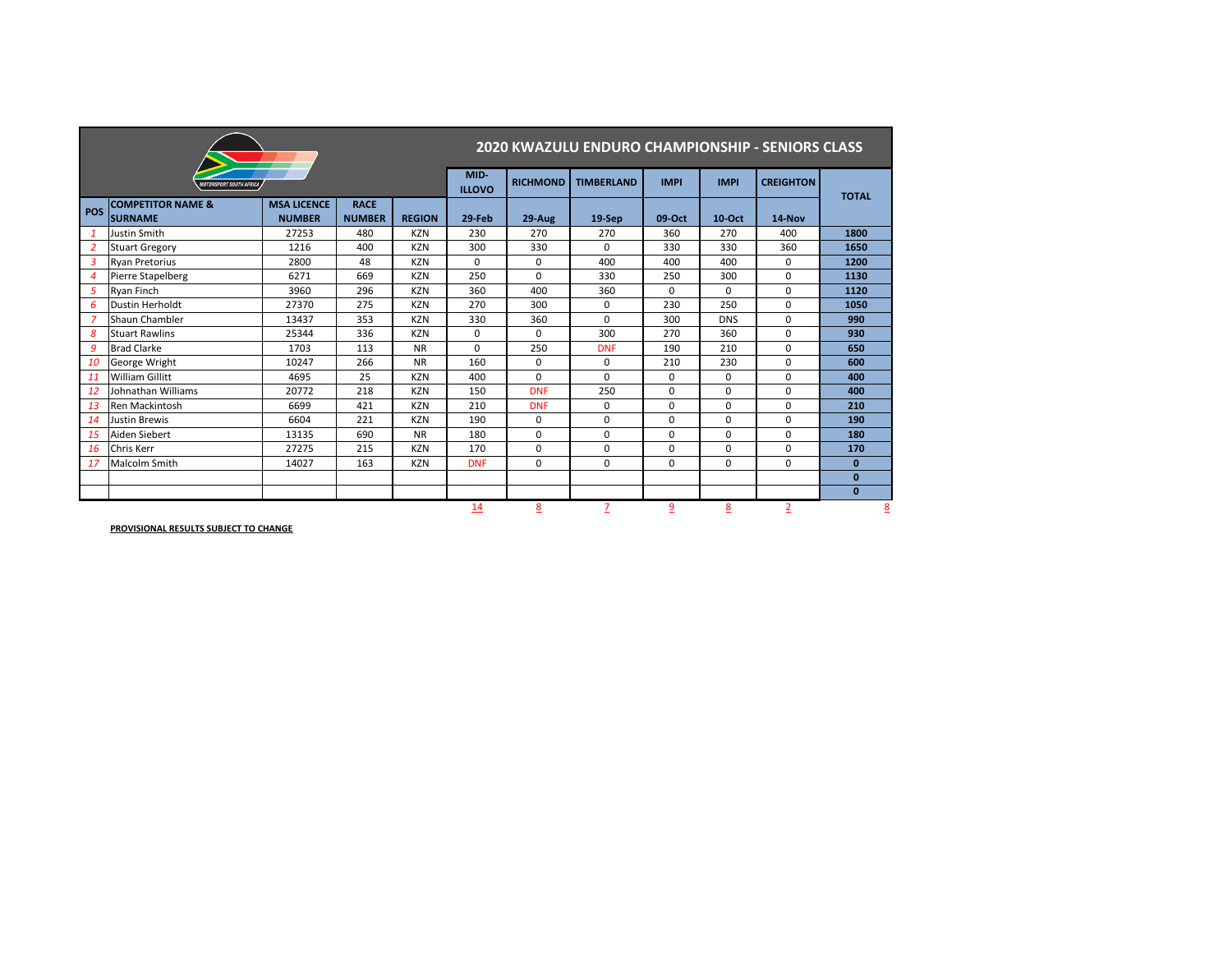|                |                                                |                                     |                              |               | <b>2020 KWAZULU ENDURO CHAMPIONSHIP - SENIORS CLASS</b> |                 |                   |                |               |                  |              |  |
|----------------|------------------------------------------------|-------------------------------------|------------------------------|---------------|---------------------------------------------------------|-----------------|-------------------|----------------|---------------|------------------|--------------|--|
|                | <b>10TORSPORT SOUTH AFRICA</b>                 |                                     |                              |               | MID-<br><b>ILLOVO</b>                                   | <b>RICHMOND</b> | <b>TIMBERLAND</b> | <b>IMPI</b>    | <b>IMPI</b>   | <b>CREIGHTON</b> | <b>TOTAL</b> |  |
| <b>POS</b>     | <b>COMPETITOR NAME &amp;</b><br><b>SURNAME</b> | <b>MSA LICENCE</b><br><b>NUMBER</b> | <b>RACE</b><br><b>NUMBER</b> | <b>REGION</b> | 29-Feb                                                  | 29-Aug          | 19-Sep            | 09-Oct         | <b>10-Oct</b> | 14-Nov           |              |  |
| $\mathbf{1}$   | Justin Smith                                   | 27253                               | 480                          | <b>KZN</b>    | 230                                                     | 270             | 270               | 360            | 270           | 400              | 1800         |  |
| 2              | <b>Stuart Gregory</b>                          | 1216                                | 400                          | <b>KZN</b>    | 300                                                     | 330             | $\mathbf 0$       | 330            | 330           | 360              | 1650         |  |
| 3              | <b>Ryan Pretorius</b>                          | 2800                                | 48                           | <b>KZN</b>    | $\mathbf 0$                                             | 0               | 400               | 400            | 400           | 0                | 1200         |  |
| $\overline{4}$ | <b>Pierre Stapelberg</b>                       | 6271                                | 669                          | <b>KZN</b>    | 250                                                     | $\mathbf 0$     | 330               | 250            | 300           | $\mathbf 0$      | 1130         |  |
| 5              | Ryan Finch                                     | 3960                                | 296                          | <b>KZN</b>    | 360                                                     | 400             | 360               | $\Omega$       | $\Omega$      | 0                | 1120         |  |
| 6              | Dustin Herholdt                                | 27370                               | 275                          | <b>KZN</b>    | 270                                                     | 300             | 0                 | 230            | 250           | 0                | 1050         |  |
| $\overline{7}$ | Shaun Chambler                                 | 13437                               | 353                          | <b>KZN</b>    | 330                                                     | 360             | $\Omega$          | 300            | <b>DNS</b>    | 0                | 990          |  |
| 8              | <b>Stuart Rawlins</b>                          | 25344                               | 336                          | <b>KZN</b>    | $\mathbf 0$                                             | 0               | 300               | 270            | 360           | $\mathbf 0$      | 930          |  |
| 9              | <b>Brad Clarke</b>                             | 1703                                | 113                          | <b>NR</b>     | $\mathbf 0$                                             | 250             | <b>DNF</b>        | 190            | 210           | 0                | 650          |  |
| 10             | George Wright                                  | 10247                               | 266                          | <b>NR</b>     | 160                                                     | 0               | $\mathbf{0}$      | 210            | 230           | 0                | 600          |  |
| 11             | <b>William Gillitt</b>                         | 4695                                | 25                           | <b>KZN</b>    | 400                                                     | $\mathbf 0$     | $\mathbf 0$       | 0              | 0             | 0                | 400          |  |
| <b>12</b>      | Johnathan Williams                             | 20772                               | 218                          | <b>KZN</b>    | 150                                                     | <b>DNF</b>      | 250               | 0              | $\mathbf 0$   | 0                | 400          |  |
| 13             | Ren Mackintosh                                 | 6699                                | 421                          | <b>KZN</b>    | 210                                                     | <b>DNF</b>      | $\mathbf 0$       | 0              | 0             | 0                | 210          |  |
| 14             | Justin Brewis                                  | 6604                                | 221                          | <b>KZN</b>    | 190                                                     | $\mathbf{0}$    | $\mathbf 0$       | 0              | 0             | 0                | 190          |  |
| 15             | Aiden Siebert                                  | 13135                               | 690                          | <b>NR</b>     | 180                                                     | $\mathbf 0$     | $\mathbf 0$       | 0              | 0             | 0                | 180          |  |
| <b>16</b>      | <b>Chris Kerr</b>                              | 27275                               | 215                          | <b>KZN</b>    | 170                                                     | $\mathbf 0$     | $\mathbf 0$       | 0              | 0             | 0                | 170          |  |
| 17             | Malcolm Smith                                  | 14027                               | 163                          | <b>KZN</b>    | <b>DNF</b>                                              | $\mathbf 0$     | $\mathbf 0$       | 0              | 0             | 0                | $\mathbf{0}$ |  |
|                |                                                |                                     |                              |               |                                                         |                 |                   |                |               |                  | $\mathbf{0}$ |  |
|                |                                                |                                     |                              |               |                                                         |                 |                   |                |               |                  | $\mathbf{0}$ |  |
|                |                                                |                                     |                              |               | 14                                                      | 8               |                   | $\overline{6}$ | 8             | $\overline{2}$   |              |  |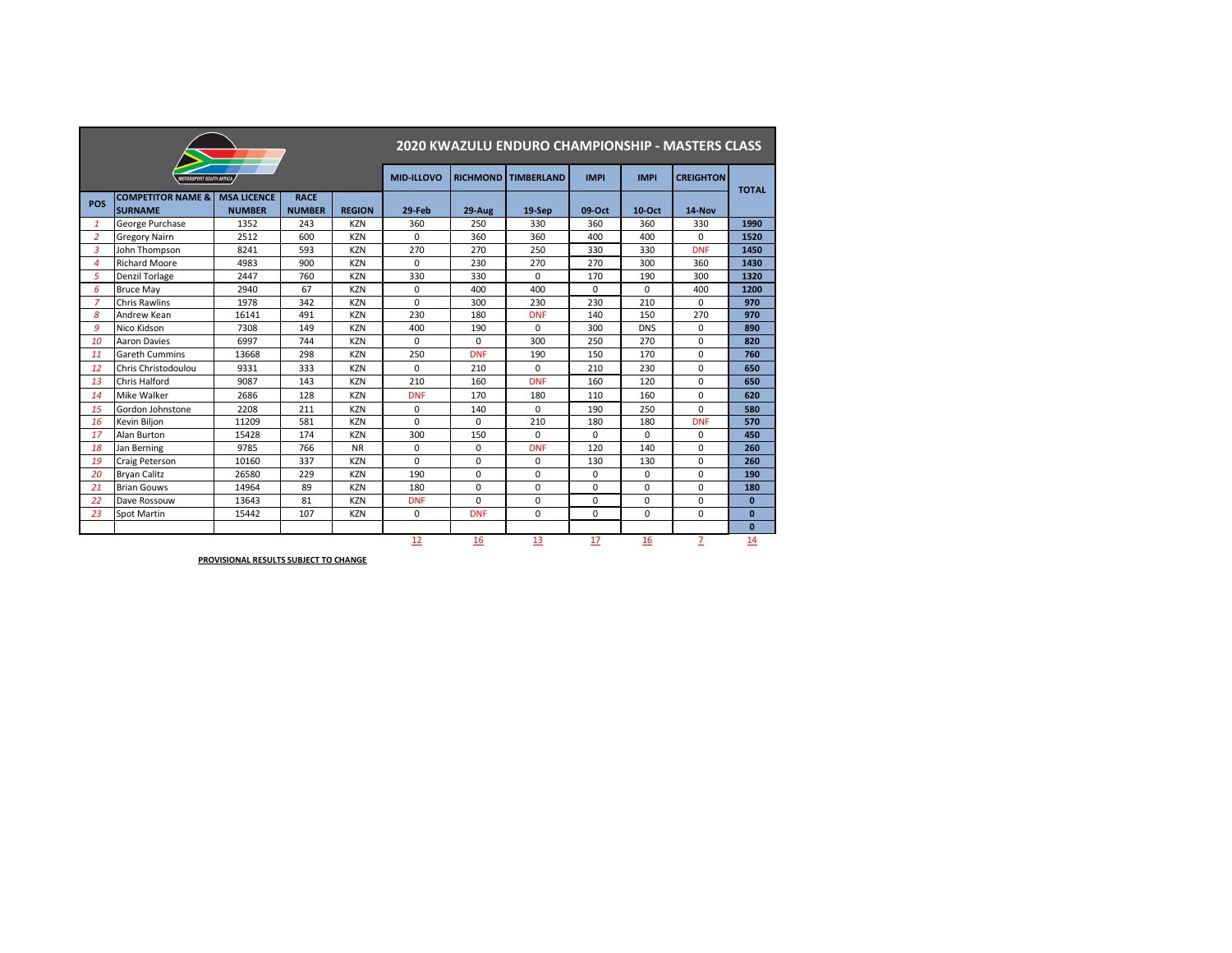|                |                                                |                                     |                              |               | 2020 KWAZULU ENDURO CHAMPIONSHIP - MASTERS CLASS |                 |                   |             |               |                  |              |  |  |
|----------------|------------------------------------------------|-------------------------------------|------------------------------|---------------|--------------------------------------------------|-----------------|-------------------|-------------|---------------|------------------|--------------|--|--|
|                | <b>MOTORSPORT SOUTH AFRICA</b>                 |                                     |                              |               | <b>MID-ILLOVO</b>                                | <b>RICHMOND</b> | <b>TIMBERLAND</b> | <b>IMPI</b> | <b>IMPI</b>   | <b>CREIGHTON</b> | <b>TOTAL</b> |  |  |
| <b>POS</b>     | <b>COMPETITOR NAME &amp;</b><br><b>SURNAME</b> | <b>MSA LICENCE</b><br><b>NUMBER</b> | <b>RACE</b><br><b>NUMBER</b> | <b>REGION</b> | 29-Feb                                           | 29-Aug          | 19-Sep            | 09-Oct      | <b>10-Oct</b> | 14-Nov           |              |  |  |
| $\mathbf{1}$   | George Purchase                                | 1352                                | 243                          | <b>KZN</b>    | 360                                              | 250             | 330               | 360         | 360           | 330              | 1990         |  |  |
| $\overline{2}$ | <b>Gregory Nairn</b>                           | 2512                                | 600                          | <b>KZN</b>    | $\mathbf 0$                                      | 360             | 360               | 400         | 400           | $\mathsf{O}$     | 1520         |  |  |
| $\overline{3}$ | John Thompson                                  | 8241                                | 593                          | <b>KZN</b>    | 270                                              | 270             | 250               | 330         | 330           | <b>DNF</b>       | 1450         |  |  |
| 4              | <b>Richard Moore</b>                           | 4983                                | 900                          | <b>KZN</b>    | 0                                                | 230             | 270               | 270         | 300           | 360              | 1430         |  |  |
| 5              | <b>Denzil Torlage</b>                          | 2447                                | 760                          | <b>KZN</b>    | 330                                              | 330             | $\mathbf 0$       | 170         | 190           | 300              | 1320         |  |  |
| 6              | <b>Bruce May</b>                               | 2940                                | 67                           | <b>KZN</b>    | $\mathbf 0$                                      | 400             | 400               | $\mathbf 0$ | $\mathbf 0$   | 400              | 1200         |  |  |
| $\overline{z}$ | <b>Chris Rawlins</b>                           | 1978                                | 342                          | <b>KZN</b>    | $\mathbf 0$                                      | 300             | 230               | 230         | 210           | 0                | 970          |  |  |
| 8              | Andrew Kean                                    | 16141                               | 491                          | <b>KZN</b>    | 230                                              | 180             | <b>DNF</b>        | 140         | 150           | 270              | 970          |  |  |
| 9              | Nico Kidson                                    | 7308                                | 149                          | <b>KZN</b>    | 400                                              | 190             | $\mathbf 0$       | 300         | <b>DNS</b>    | 0                | 890          |  |  |
| 10             | <b>Aaron Davies</b>                            | 6997                                | 744                          | <b>KZN</b>    | 0                                                | 0               | 300               | 250         | 270           | 0                | 820          |  |  |
| 11             | <b>Gareth Cummins</b>                          | 13668                               | 298                          | <b>KZN</b>    | 250                                              | <b>DNF</b>      | 190               | 150         | 170           | 0                | 760          |  |  |
| 12             | Chris Christodoulou                            | 9331                                | 333                          | <b>KZN</b>    | $\mathbf 0$                                      | 210             | $\mathbf 0$       | 210         | 230           | $\mathsf{O}$     | 650          |  |  |
| 13             | <b>Chris Halford</b>                           | 9087                                | 143                          | <b>KZN</b>    | 210                                              | 160             | <b>DNF</b>        | 160         | 120           | $\Omega$         | 650          |  |  |
| 14             | Mike Walker                                    | 2686                                | 128                          | <b>KZN</b>    | <b>DNF</b>                                       | 170             | 180               | 110         | 160           | 0                | 620          |  |  |
| 15             | Gordon Johnstone                               | 2208                                | 211                          | <b>KZN</b>    | $\pmb{0}$                                        | 140             | $\mathbf 0$       | 190         | 250           | 0                | 580          |  |  |
| 16             | Kevin Biljon                                   | 11209                               | 581                          | <b>KZN</b>    | $\mathbf 0$                                      | 0               | 210               | 180         | 180           | <b>DNF</b>       | 570          |  |  |
| 17             | Alan Burton                                    | 15428                               | 174                          | <b>KZN</b>    | 300                                              | 150             | $\mathbf 0$       | $\mathbf 0$ | $\mathbf{0}$  | $\mathsf{O}$     | 450          |  |  |
| 18             | Jan Berning                                    | 9785                                | 766                          | <b>NR</b>     | $\pmb{0}$                                        | 0               | <b>DNF</b>        | 120         | 140           | 0                | 260          |  |  |
| 19             | <b>Craig Peterson</b>                          | 10160                               | 337                          | <b>KZN</b>    | $\Omega$                                         | 0               | $\mathbf 0$       | 130         | 130           | 0                | 260          |  |  |
| 20             | <b>Bryan Calitz</b>                            | 26580                               | 229                          | <b>KZN</b>    | 190                                              | 0               | $\mathbf 0$       | 0           | $\mathbf 0$   | 0                | <b>190</b>   |  |  |
| 21             | <b>Brian Gouws</b>                             | 14964                               | 89                           | <b>KZN</b>    | 180                                              | 0               | 0                 | $\mathbf 0$ | $\mathbf 0$   | 0                | 180          |  |  |
| 22             | Dave Rossouw                                   | 13643                               | 81                           | <b>KZN</b>    | <b>DNF</b>                                       | 0               | $\mathbf 0$       | 0           | $\mathbf 0$   | 0                | $\mathbf 0$  |  |  |
| 23             | <b>Spot Martin</b>                             | 15442                               | 107                          | <b>KZN</b>    | 0                                                | <b>DNF</b>      | $\mathbf 0$       | 0           | $\mathbf 0$   | 0                | $\mathbf{0}$ |  |  |
|                |                                                |                                     |                              |               |                                                  |                 |                   |             |               |                  | $\mathbf{0}$ |  |  |
|                |                                                |                                     |                              |               | 12                                               | 16              | 13                | 17          | 16            | $\overline{Z}$   | 14           |  |  |